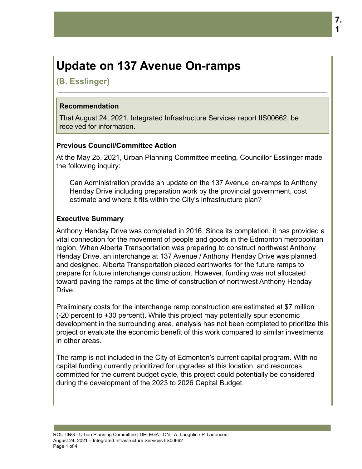# **Update on 137 Avenue On-ramps**

**(B. Esslinger)**

### **Recommendation**

That August 24, 2021, Integrated Infrastructure Services report IIS00662, be received for information.

# **Previous Council/Committee Action**

At the May 25, 2021, Urban Planning Committee meeting, Councillor Esslinger made the following inquiry:

Can Administration provide an update on the 137 Avenue on-ramps to Anthony Henday Drive including preparation work by the provincial government, cost estimate and where it fits within the City's infrastructure plan?

# **Executive Summary**

Anthony Henday Drive was completed in 2016. Since its completion, it has provided a vital connection for the movement of people and goods in the Edmonton metropolitan region. When Alberta Transportation was preparing to construct northwest Anthony Henday Drive, an interchange at 137 Avenue / Anthony Henday Drive was planned and designed. Alberta Transportation placed earthworks for the future ramps to prepare for future interchange construction. However, funding was not allocated toward paving the ramps at the time of construction of northwest Anthony Henday Drive.

Preliminary costs for the interchange ramp construction are estimated at \$7 million (-20 percent to +30 percent). While this project may potentially spur economic development in the surrounding area, analysis has not been completed to prioritize this project or evaluate the economic benefit of this work compared to similar investments in other areas.

The ramp is not included in the City of Edmonton's current capital program. With no capital funding currently prioritized for upgrades at this location, and resources committed for the current budget cycle, this project could potentially be considered during the development of the 2023 to 2026 Capital Budget.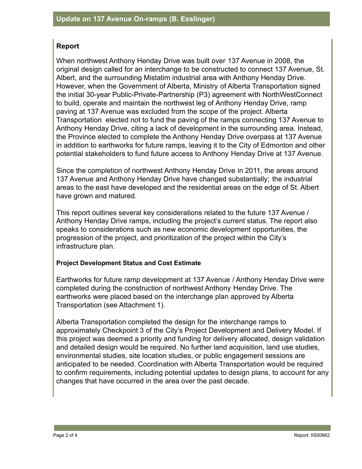# **Report**

When northwest Anthony Henday Drive was built over 137 Avenue in 2008, the original design called for an interchange to be constructed to connect 137 Avenue, St. Albert, and the surrounding Mistatim industrial area with Anthony Henday Drive. However, when the Government of Alberta, Ministry of Alberta Transportation signed the initial 30-year Public-Private-Partnership (P3) agreement with NorthWestConnect to build, operate and maintain the northwest leg of Anthony Henday Drive, ramp paving at 137 Avenue was excluded from the scope of the project. Alberta Transportation elected not to fund the paving of the ramps connecting 137 Avenue to Anthony Henday Drive, citing a lack of development in the surrounding area. Instead, the Province elected to complete the Anthony Henday Drive overpass at 137 Avenue in addition to earthworks for future ramps, leaving it to the City of Edmonton and other potential stakeholders to fund future access to Anthony Henday Drive at 137 Avenue.

Since the completion of northwest Anthony Henday Drive in 2011, the areas around 137 Avenue and Anthony Henday Drive have changed substantially; the industrial areas to the east have developed and the residential areas on the edge of St. Albert have grown and matured.

This report outlines several key considerations related to the future 137 Avenue / Anthony Henday Drive ramps, including the project's current status. The report also speaks to considerations such as new economic development opportunities, the progression of the project, and prioritization of the project within the City's infrastructure plan.

#### **Project Development Status and Cost Estimate**

Earthworks for future ramp development at 137 Avenue / Anthony Henday Drive were completed during the construction of northwest Anthony Henday Drive. The earthworks were placed based on the interchange plan approved by Alberta Transportation (see Attachment 1).

Alberta Transportation completed the design for the interchange ramps to approximately Checkpoint 3 of the City's Project Development and Delivery Model. If this project was deemed a priority and funding for delivery allocated, design validation and detailed design would be required. No further land acquisition, land use studies, environmental studies, site location studies, or public engagement sessions are anticipated to be needed. Coordination with Alberta Transportation would be required to confirm requirements, including potential updates to design plans, to account for any changes that have occurred in the area over the past decade.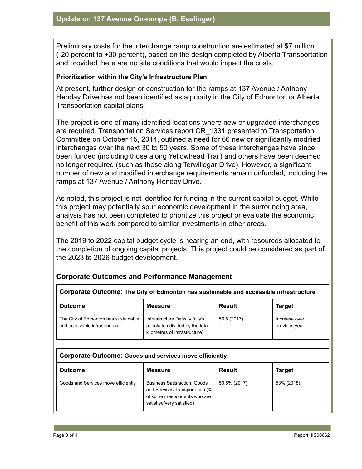Preliminary costs for the interchange ramp construction are estimated at \$7 million (-20 percent to +30 percent), based on the design completed by Alberta Transportation and provided there are no site conditions that would impact the costs.

#### **Prioritization within the City's Infrastructure Plan**

At present, further design or construction for the ramps at 137 Avenue / Anthony Henday Drive has not been identified as a priority in the City of Edmonton or Alberta Transportation capital plans.

The project is one of many identified locations where new or upgraded interchanges are required. Transportation Services report CR\_1331 presented to Transportation Committee on October 15, 2014, outlined a need for 66 new or significantly modified interchanges over the next 30 to 50 years. Some of these interchanges have since been funded (including those along Yellowhead Trail) and others have been deemed no longer required (such as those along Terwillegar Drive). However, a significant number of new and modified interchange requirements remain unfunded, including the ramps at 137 Avenue / Anthony Henday Drive.

As noted, this project is not identified for funding in the current capital budget. While this project may potentially spur economic development in the surrounding area, analysis has not been completed to prioritize this project or evaluate the economic benefit of this work compared to similar investments in other areas.

The 2019 to 2022 capital budget cycle is nearing an end, with resources allocated to the completion of ongoing capital projects. This project could be considered as part of the 2023 to 2026 budget development.

# **Corporate Outcomes and Performance Management**

| <b>Outcome</b>                                                        | Measure                                                                                            | <b>Result</b> | <b>Target</b>                  |
|-----------------------------------------------------------------------|----------------------------------------------------------------------------------------------------|---------------|--------------------------------|
| The City of Edmonton has sustainable<br>and accessible infrastructure | Infrastructure Density (city's<br>population divided by the total<br>kilometres of infrastructure) | 56.5 (2017)   | Increase over<br>previous year |

| Corporate Outcome: Goods and services move efficiently. |                                                                                                                                     |               |               |  |  |
|---------------------------------------------------------|-------------------------------------------------------------------------------------------------------------------------------------|---------------|---------------|--|--|
| <b>Outcome</b>                                          | <b>Measure</b>                                                                                                                      | <b>Result</b> | <b>Target</b> |  |  |
| Goods and Services move efficiently.                    | <b>Business Satisfaction: Goods</b><br>and Services Transportation (%<br>of survey respondents who are<br>satisfied/very satisfied) | 50.5% (2017)  | 53% (2018)    |  |  |